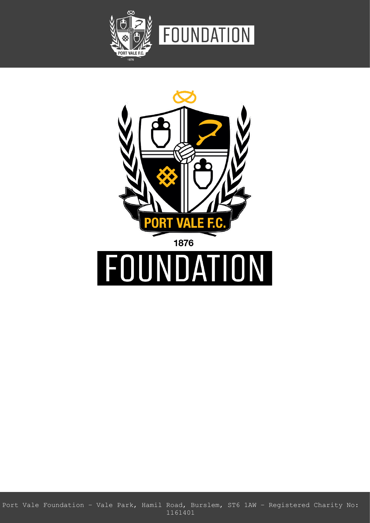



Port Vale Foundation – Vale Park, Hamil Road, Burslem, ST6 1AW – Registered Charity No: 1161401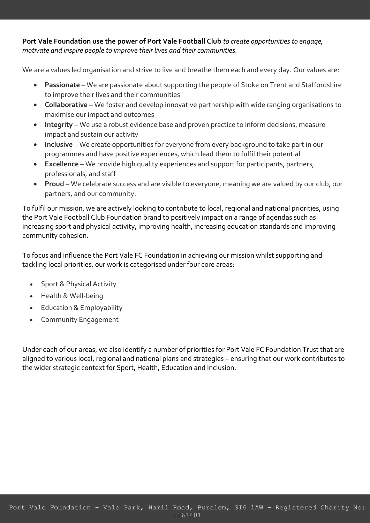**Port Vale Foundation use the power of Port Vale Football Club** *to create opportunities to engage, motivate and inspire people to improve their lives and their communities.* 

We are a values led organisation and strive to live and breathe them each and every day. Our values are:

- **Passionate** We are passionate about supporting the people of Stoke on Trent and Staffordshire to improve their lives and their communities
- **Collaborative** We foster and develop innovative partnership with wide ranging organisations to maximise our impact and outcomes
- **Integrity**  We use a robust evidence base and proven practice to inform decisions, measure impact and sustain our activity
- **Inclusive** We create opportunities for everyone from every background to take part in our programmes and have positive experiences, which lead them to fulfil their potential
- **Excellence** We provide high quality experiences and support for participants, partners, professionals, and staff
- **Proud** We celebrate success and are visible to everyone, meaning we are valued by our club, our partners, and our community.

To fulfil our mission, we are actively looking to contribute to local, regional and national priorities, using the Port Vale Football Club Foundation brand to positively impact on a range of agendas such as increasing sport and physical activity, improving health, increasing education standards and improving community cohesion.

To focus and influence the Port Vale FC Foundation in achieving our mission whilst supporting and tackling local priorities, our work is categorised under four core areas:

- Sport & Physical Activity
- Health & Well-being
- Education & Employability
- Community Engagement

Under each of our areas, we also identify a number of priorities for Port Vale FC Foundation Trust that are aligned to various local, regional and national plans and strategies – ensuring that our work contributes to the wider strategic context for Sport, Health, Education and Inclusion.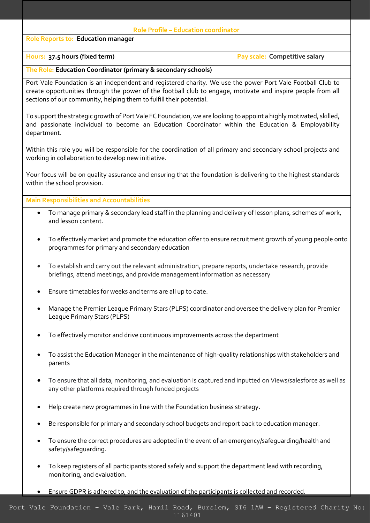## **Role Reports to: Education manager**

### **Role Profile – Education coordinator**

# **Hours:** 37.5 hours (fixed term) **Pay scale:** Competitive salary

## **The Role: Education Coordinator (primary & secondary schools)**

Port Vale Foundation is an independent and registered charity. We use the power Port Vale Football Club to create opportunities through the power of the football club to engage, motivate and inspire people from all sections of our community, helping them to fulfill their potential.

To support the strategic growth of Port Vale FC Foundation, we are looking to appoint a highly motivated, skilled, and passionate individual to become an Education Coordinator within the Education & Employability department.

Within this role you will be responsible for the coordination of all primary and secondary school projects and working in collaboration to develop new initiative.

Your focus will be on quality assurance and ensuring that the foundation is delivering to the highest standards within the school provision.

**Main Responsibilities and Accountabilities**

- To manage primary & secondary lead staff in the planning and delivery of lesson plans, schemes of work, and lesson content.
- To effectively market and promote the education offer to ensure recruitment growth of young people onto programmes for primary and secondary education
- To establish and carry out the relevant administration, prepare reports, undertake research, provide briefings, attend meetings, and provide management information as necessary
- Ensure timetables for weeks and terms are all up to date.
- Manage the Premier League Primary Stars (PLPS) coordinator and oversee the delivery plan for Premier League Primary Stars (PLPS)
- To effectively monitor and drive continuous improvements across the department
- To assist the Education Manager in the maintenance of high-quality relationships with stakeholders and parents
- To ensure that all data, monitoring, and evaluation is captured and inputted on Views/salesforce as well as any other platforms required through funded projects
- Help create new programmes in line with the Foundation business strategy.
- Be responsible for primary and secondary school budgets and report back to education manager.
- To ensure the correct procedures are adopted in the event of an emergency/safeguarding/health and safety/safeguarding.
- To keep registers of all participants stored safely and support the department lead with recording, monitoring, and evaluation.
- Ensure GDPR is adhered to, and the evaluation of the participants is collected and recorded.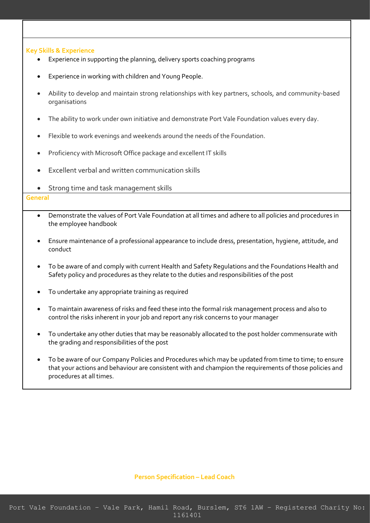#### **Key Skills & Experience**

- Experience in supporting the planning, delivery sports coaching programs
- Experience in working with children and Young People.
- Ability to develop and maintain strong relationships with key partners, schools, and community-based organisations
- The ability to work under own initiative and demonstrate Port Vale Foundation values every day.
- Flexible to work evenings and weekends around the needs of the Foundation.
- Proficiency with Microsoft Office package and excellent IT skills
- Excellent verbal and written communication skills
- Strong time and task management skills

#### **General**

- Demonstrate the values of Port Vale Foundation at all times and adhere to all policies and procedures in the employee handbook
- Ensure maintenance of a professional appearance to include dress, presentation, hygiene, attitude, and conduct
- To be aware of and comply with current Health and Safety Regulations and the Foundations Health and Safety policy and procedures as they relate to the duties and responsibilities of the post
- To undertake any appropriate training as required
- To maintain awareness of risks and feed these into the formal risk management process and also to control the risks inherent in your job and report any risk concerns to your manager
- To undertake any other duties that may be reasonably allocated to the post holder commensurate with the grading and responsibilities of the post
- To be aware of our Company Policies and Procedures which may be updated from time to time; to ensure that your actions and behaviour are consistent with and champion the requirements of those policies and procedures at all times.

#### **Person Specification – Lead Coach**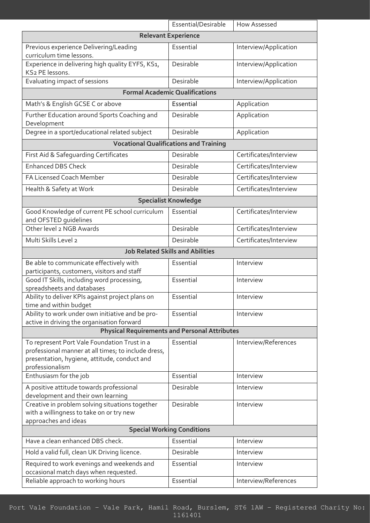|                                                                                                                        | Essential/Desirable         | How Assessed           |
|------------------------------------------------------------------------------------------------------------------------|-----------------------------|------------------------|
| <b>Relevant Experience</b>                                                                                             |                             |                        |
| Previous experience Delivering/Leading<br>curriculum time lessons.                                                     | Essential                   | Interview/Application  |
| Experience in delivering high quality EYFS, KS1,<br>KS2 PE lessons.                                                    | Desirable                   | Interview/Application  |
| Evaluating impact of sessions                                                                                          | Desirable                   | Interview/Application  |
| <b>Formal Academic Qualifications</b>                                                                                  |                             |                        |
| Math's & English GCSE C or above                                                                                       | Essential                   | Application            |
| Further Education around Sports Coaching and<br>Development                                                            | Desirable                   | Application            |
| Degree in a sport/educational related subject                                                                          | Desirable                   | Application            |
| <b>Vocational Qualifications and Training</b>                                                                          |                             |                        |
| First Aid & Safeguarding Certificates                                                                                  | Desirable                   | Certificates/Interview |
| <b>Enhanced DBS Check</b>                                                                                              | Desirable                   | Certificates/Interview |
| FA Licensed Coach Member                                                                                               | Desirable                   | Certificates/Interview |
| Health & Safety at Work                                                                                                | Desirable                   | Certificates/Interview |
|                                                                                                                        | <b>Specialist Knowledge</b> |                        |
| Good Knowledge of current PE school curriculum                                                                         | Essential                   | Certificates/Interview |
| and OFSTED quidelines                                                                                                  |                             |                        |
| Other level 2 NGB Awards                                                                                               | Desirable                   | Certificates/Interview |
| Multi Skills Level 2                                                                                                   | Desirable                   | Certificates/Interview |
| <b>Job Related Skills and Abilities</b>                                                                                |                             |                        |
| Be able to communicate effectively with                                                                                | Essential                   | Interview              |
| participants, customers, visitors and staff                                                                            |                             |                        |
| Good IT Skills, including word processing,<br>spreadsheets and databases                                               | Essential                   | Interview              |
| Ability to deliver KPIs against project plans on<br>time and within budget                                             | Essential                   | Interview              |
| Ability to work under own initiative and be pro-                                                                       | Essential                   | Interview              |
| active in driving the organisation forward<br><b>Physical Requirements and Personal Attributes</b>                     |                             |                        |
| To represent Port Vale Foundation Trust in a                                                                           | Essential                   | Interview/References   |
| professional manner at all times; to include dress,<br>presentation, hygiene, attitude, conduct and<br>professionalism |                             |                        |
| Enthusiasm for the job                                                                                                 | Essential                   | Interview              |
| A positive attitude towards professional<br>development and their own learning                                         | Desirable                   | Interview              |
| Creative in problem solving situations together<br>with a willingness to take on or try new<br>approaches and ideas    | Desirable                   | Interview              |
| <b>Special Working Conditions</b>                                                                                      |                             |                        |
| Have a clean enhanced DBS check.                                                                                       | Essential                   | Interview              |
| Hold a valid full, clean UK Driving licence.                                                                           | Desirable                   | Interview              |
| Required to work evenings and weekends and<br>occasional match days when requested.                                    | Essential                   | Interview              |
| Reliable approach to working hours                                                                                     | Essential                   | Interview/References   |